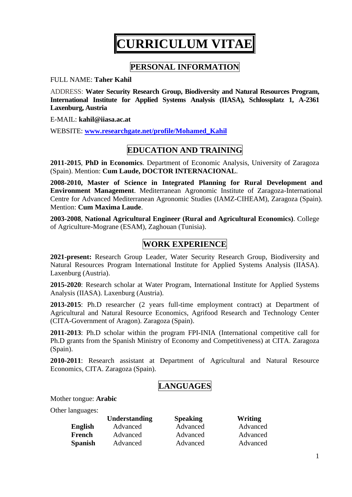# **CURRICULUM VITAE**

## **PERSONAL INFORMATION**

FULL NAME: **Taher Kahil**

ADDRESS: **Water Security Research Group, Biodiversity and Natural Resources Program, International Institute for Applied Systems Analysis (IIASA), Schlossplatz 1, A-2361 Laxenburg, Austria** 

E-MAIL: **[kahil@iiasa.ac.at](mailto:kahil@iiasa.ac.at)**

WEBSITE: **[www.researchgate.net/profile/Mohamed\\_Kahil](https://www.researchgate.net/profile/Mohamed_Kahil)**

## **EDUCATION AND TRAINING**

**2011-2015**, **PhD in Economics**. Department of Economic Analysis, University of Zaragoza (Spain). Mention: **Cum Laude, DOCTOR INTERNACIONAL**.

**2008-2010, Master of Science in Integrated Planning for Rural Development and Environment Management**. Mediterranean Agronomic Institute of Zaragoza-International Centre for Advanced Mediterranean Agronomic Studies (IAMZ-CIHEAM), Zaragoza (Spain). Mention: **Cum Maxima Laude**.

**2003-2008**, **National Agricultural Engineer (Rural and Agricultural Economics)**. College of Agriculture-Mograne (ESAM), Zaghouan (Tunisia).

## **WORK EXPERIENCE**

**2021-present:** Research Group Leader, Water Security Research Group, Biodiversity and Natural Resources Program International Institute for Applied Systems Analysis (IIASA). Laxenburg (Austria).

**2015-2020**: Research scholar at Water Program, International Institute for Applied Systems Analysis (IIASA). Laxenburg (Austria).

**2013-2015**: Ph.D researcher (2 years full-time employment contract) at Department of Agricultural and Natural Resource Economics, Agrifood Research and Technology Center (CITA-Government of Aragon). Zaragoza (Spain).

**2011-2013**: Ph.D scholar within the program FPI-INIA (International competitive call for Ph.D grants from the Spanish Ministry of Economy and Competitiveness) at CITA. Zaragoza (Spain).

**2010-2011**: Research assistant at Department of Agricultural and Natural Resource Economics, CITA. Zaragoza (Spain).

# **LANGUAGES**

Mother tongue: **Arabic**

Other languages:

|                | <b>Understanding</b> | <b>Speaking</b> | Writing  |
|----------------|----------------------|-----------------|----------|
| <b>English</b> | Advanced             | Advanced        | Advanced |
| French         | Advanced             | Advanced        | Advanced |
| <b>Spanish</b> | Advanced             | Advanced        | Advanced |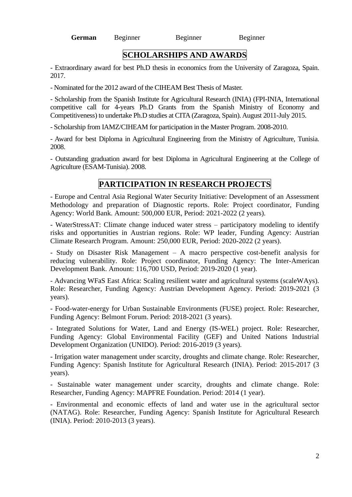**German** Beginner Beginner Beginner

## **SCHOLARSHIPS AND AWARDS**

- Extraordinary award for best Ph.D thesis in economics from the University of Zaragoza, Spain. 2017.

- Nominated for the 2012 award of the CIHEAM Best Thesis of Master.

- Scholarship from the Spanish Institute for Agricultural Research (INIA) (FPI-INIA, International competitive call for 4-years Ph.D Grants from the Spanish Ministry of Economy and Competitiveness) to undertake Ph.D studies at CITA (Zaragoza, Spain). August 2011-July 2015.

- Scholarship from IAMZ/CIHEAM for participation in the Master Program. 2008-2010.

- Award for best Diploma in Agricultural Engineering from the Ministry of Agriculture, Tunisia. 2008.

- Outstanding graduation award for best Diploma in Agricultural Engineering at the College of Agriculture (ESAM-Tunisia). 2008.

## **PARTICIPATION IN RESEARCH PROJECTS**

- Europe and Central Asia Regional Water Security Initiative: Development of an Assessment Methodology and preparation of Diagnostic reports. Role: Project coordinator, Funding Agency: World Bank. Amount: 500,000 EUR, Period: 2021-2022 (2 years).

- WaterStressAT: Climate change induced water stress – participatory modeling to identify risks and opportunities in Austrian regions. Role: WP leader, Funding Agency: Austrian Climate Research Program. Amount: 250,000 EUR, Period: 2020-2022 (2 years).

- Study on Disaster Risk Management – A macro perspective cost-benefit analysis for reducing vulnerability. Role: Project coordinator, Funding Agency: The Inter-American Development Bank. Amount: 116,700 USD, Period: 2019-2020 (1 year).

- Advancing WFaS East Africa: Scaling resilient water and agricultural systems (scaleWAys). Role: Researcher, Funding Agency: Austrian Development Agency. Period: 2019-2021 (3 years).

- Food-water-energy for Urban Sustainable Environments (FUSE) project. Role: Researcher, Funding Agency: Belmont Forum. Period: 2018-2021 (3 years).

- Integrated Solutions for Water, Land and Energy (IS-WEL) project. Role: Researcher, Funding Agency: Global Environmental Facility (GEF) and United Nations Industrial Development Organization (UNIDO). Period: 2016-2019 (3 years).

- Irrigation water management under scarcity, droughts and climate change. Role: Researcher, Funding Agency: Spanish Institute for Agricultural Research (INIA). Period: 2015-2017 (3 years).

- Sustainable water management under scarcity, droughts and climate change. Role: Researcher, Funding Agency: MAPFRE Foundation. Period: 2014 (1 year).

- Environmental and economic effects of land and water use in the agricultural sector (NATAG). Role: Researcher, Funding Agency: Spanish Institute for Agricultural Research (INIA). Period: 2010-2013 (3 years).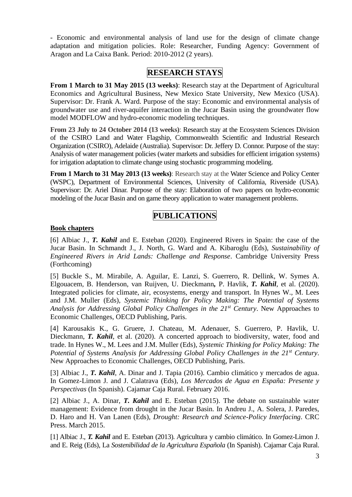- Economic and environmental analysis of land use for the design of climate change adaptation and mitigation policies. Role: Researcher, Funding Agency: Government of Aragon and La Caixa Bank. Period: 2010-2012 (2 years).

## **RESEARCH STAYS**

**From 1 March to 31 May 2015 (13 weeks)**: Research stay at the Department of Agricultural Economics and Agricultural Business, New Mexico State University, New Mexico (USA). Supervisor: Dr. Frank A. Ward. Purpose of the stay: Economic and environmental analysis of groundwater use and river-aquifer interaction in the Jucar Basin using the groundwater flow model MODFLOW and hydro-economic modeling techniques.

**From 23 July to 24 October 2014 (13 weeks)**: Research stay at the Ecosystem Sciences Division of the CSIRO Land and Water Flagship, Commonwealth Scientific and Industrial Research Organization (CSIRO), Adelaide (Australia). Supervisor: Dr. Jeffery D. Connor. Purpose of the stay: Analysis of water management policies (water markets and subsidies for efficient irrigation systems) for irrigation adaptation to climate change using stochastic programming modeling.

**From 1 March to 31 May 2013 (13 weeks)**: Research stay at the Water Science and Policy Center (WSPC), Department of Environmental Sciences, University of California, Riverside (USA). Supervisor: Dr. Ariel Dinar. Purpose of the stay: Elaboration of two papers on hydro-economic modeling of the Jucar Basin and on game theory application to water management problems.

## **PUBLICATIONS**

#### **Book chapters**

[6] Albiac J., *T. Kahil* and E. Esteban (2020). Engineered Rivers in Spain: the case of the Jucar Basin. In Schmandt J., J. North, G. Ward and A. Kibaroglu (Eds), *Sustainability of Engineered Rivers in Arid Lands: Challenge and Response*. Cambridge University Press (Forthcoming)

[5] Buckle S., M. Mirabile, A. Aguilar, E. Lanzi, S. Guerrero, R. Dellink, W. Symes A. Elgouacem, B. Henderson, van Ruijven, U. Dieckmann*,* P. Havlik, *T. Kahil*, et al. (2020). Integrated policies for climate, air, ecosystems, energy and transport. In Hynes W., M. Lees and J.M. Muller (Eds), *Systemic Thinking for Policy Making: The Potential of Systems Analysis for Addressing Global Policy Challenges in the 21st Century*. New Approaches to Economic Challenges, OECD Publishing, Paris.

[4] Karousakis K., G. Gruere, J. Chateau, M. Adenauer, S. Guerrero, P. Havlik, U. Dieckmann, *T. Kahil*, et al. (2020). A concerted approach to biodiversity, water, food and trade. In Hynes W., M. Lees and J.M. Muller (Eds), *Systemic Thinking for Policy Making: The Potential of Systems Analysis for Addressing Global Policy Challenges in the 21st Century*. New Approaches to Economic Challenges, OECD Publishing, Paris.

[3] Albiac J., *T. Kahil*, A. Dinar and J. Tapia (2016). Cambio climático y mercados de agua. In Gomez-Limon J. and J. Calatrava (Eds), *Los Mercados de Agua en España: Presente y Perspectivas* (In Spanish). Cajamar Caja Rural. February 2016.

[2] Albiac J., A. Dinar, *T. Kahil* and E. Esteban (2015). The debate on sustainable water management: Evidence from drought in the Jucar Basin. In Andreu J., A. Solera, J. Paredes, D. Haro and H. Van Lanen (Eds), *Drought: Research and Science-Policy Interfacing*. CRC Press. March 2015.

[1] Albiac J., *T. Kahil* and E. Esteban (2013). Agricultura y cambio climático. In Gomez-Limon J. and E. Reig (Eds), La *Sostenibilidad de la Agricultura Española* (In Spanish). Cajamar Caja Rural.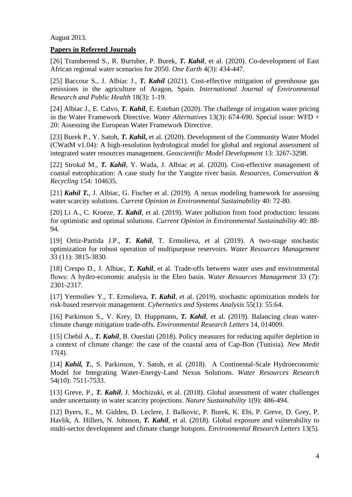August 2013.

#### **Papers in Refereed Journals**

[26] Tramberend S., R. Burtsher, P. Burek, *T. Kahil*, et al. (2020). Co-development of East African regional water scenarios for 2050. *One Earth* 4(3): 434-447.

[25] Baccour S., J. Albiac J., *T. Kahil* (2021). Cost-effective mitigation of greenhouse gas emissions in the agriculture of Aragon, Spain. *International Journal of Environmental Research and Public Health* 18(3): 1-19.

[24] Albiac J., E. Calvo, *T. Kahil*, E. Esteban (2020). The challenge of irrigation water pricing in the Water Framework Directive. *Water Alternatives* 13(3): 674-690. Special issue: WFD + 20: Assessing the European Water Framework Directive.

[23] Burek P., Y. Satoh, *T. Kahil***,** et al. (2020). Development of the Community Water Model (CWatM v1.04): A high-resolution hydrological model for global and regional assessment of integrated water resources management. *Geoscientific Model Development* 13: 3267-3298.

[22] Strokal M., *T. Kahil*, Y. Wada, J. Albiac et al. (2020). Cost-effective management of coastal eutrophication: A case study for the Yangtze river basin. *Resources, Conservation & Recycling* 154: 104635.

[21] *Kahil T.*, J. Albiac, G. Fischer et al. (2019). A nexus modeling framework for assessing water scarcity solutions. *Current Opinion in Environmental Sustainability* 40: 72-80.

[20] Li A., C. Kroeze, *T. Kahil*, et al. (2019). Water pollution from food production: lessons for optimistic and optimal solutions. *Current Opinion in Environmental Sustainability* 40: 88- 94.

[19] Ortiz-Partida J.P., *T. Kahil*, T. Ermolieva, et al (2019). A two-stage stochastic optimization for robust operation of multipurpose reservoirs. *Water Resources Management* 33 (11): 3815-3830.

[18] Crespo D., J. Albiac, *T. Kahil*, et al. Trade-offs between water uses and environmental flows: A hydro-economic analysis in the Ebro basin. *Water Resources Management* 33 (7): 2301-2317.

[17] Yermoliev Y., T. Ermolieva, *T. Kahil*, et al. (2019). stochastic optimization models for risk-based reservoir management. *Cybernetics and Systems Analysis* 55(1): 55:64.

[16] Parkinson S., V. Krey, D. Huppmann, *T. Kahil*, et al. (2019). Balancing clean waterclimate change mitigation trade-offs. *Environmental Research Letters* 14, 014009.

[15] Chebil A., *T. Kahil*, B. Oueslati (2018). Policy measures for reducing aquifer depletion in a context of climate change: the case of the coastal area of Cap-Bon (Tunisia). *New Medit*  17(4).

[14] *Kahil, T.*, S. Parkinson, Y. Satoh, et al. (2018). A Continental-Scale Hydroeconomic Model for Integrating Water-Energy-Land Nexus Solutions. *Water Resources Research* 54(10): 7511-7533.

[13] Greve, P., *T. Kahil*, J. Mochizuki, et al. (2018). Global assessment of water challenges under uncertainty in water scarcity projections. *Nature Sustainability* 1(9): 486-494.

[12] Byers, E., M. Gidden, D. Leclere, J. Balkovic, P. Burek, K. Ebi, P. Greve, D. Grey, P. Havlik, A. Hillers, N. Johnson, *T. Kahil*, et al. (2018). Global exposure and vulnerability to multi-sector development and climate change hotspots. *Environmental Research Letters* 13(5).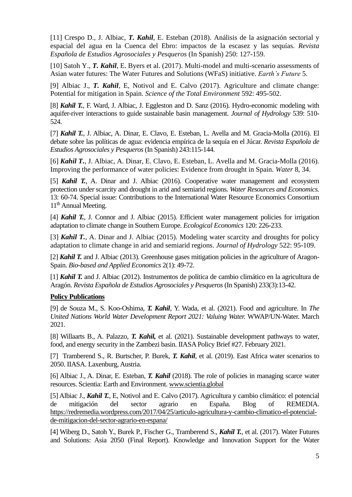[11] Crespo D., J. Albiac, *T. Kahil*, E. Esteban (2018). Análisis de la asignación sectorial y espacial del agua en la Cuenca del Ebro: impactos de la escasez y las sequías. *Revista Española de Estudios Agrosociales y Pesqueros* (In Spanish) 250: 127-159.

[10] Satoh Y., *T. Kahil*, E. Byers et al. (2017). Multi-model and multi-scenario assessments of Asian water futures: The Water Futures and Solutions (WFaS) initiative. *Earth's Future* 5.

[9] Albiac J., *T. Kahil*, E, Notivol and E. Calvo (2017). Agriculture and climate change: Potential for mitigation in Spain. *Science of the Total Environment* 592: 495-502.

[8] *Kahil T.*, F. Ward, J. Albiac, J. Eggleston and D. Sanz (2016). Hydro-economic modeling with aquifer-river interactions to guide sustainable basin management. *Journal of Hydrology* 539: 510- 524.

[7] *Kahil T.*, J. Albiac, A. Dinar, E. Clavo, E. Esteban, L. Avella and M. Gracia-Molla (2016). El debate sobre las políticas de agua: evidencia empírica de la sequía en el Júcar. *Revista Española de Estudios Agrosociales y Pesqueros* (In Spanish) 243:115-144.

[6] *Kahil T.*, J. Albiac, A. Dinar, E. Clavo, E. Esteban, L. Avella and M. Gracia-Molla (2016). Improving the performance of water policies: Evidence from drought in Spain. *Water* 8, 34.

[5] *Kahil T.*, A. Dinar and J. Albiac (2016). Cooperative water management and ecosystem protection under scarcity and drought in arid and semiarid regions. *Water Resources and Economics.*  13: 60-74. Special issue: Contributions to the International Water Resource Economics Consortium 11<sup>th</sup> Annual Meeting.

[4] *Kahil T.*, J. Connor and J. Albiac (2015). Efficient water management policies for irrigation adaptation to climate change in Southern Europe. *Ecological Economics* 120: 226-233.

[3] *Kahil T.*, A. Dinar and J. Albiac (2015). Modeling water scarcity and droughts for policy adaptation to climate change in arid and semiarid regions. *Journal of Hydrology* 522: 95-109.

[2] *Kahil T.* and J. Albiac (2013). Greenhouse gases mitigation policies in the agriculture of Aragon-Spain. *Bio-based and Applied Economics* 2(1): 49-72.

[1] *Kahil T.* and J. Albiac (2012). Instrumentos de política de cambio climático en la agricultura de Aragón. *Revista Española de Estudios Agrosociales y Pesqueros* (In Spanish) 233(3):13-42.

#### **Policy Publications**

[9] de Souza M., S. Koo-Oshima, *T. Kahil*, Y. Wada, et al. (2021). Food and agriculture. In *The United Nations World Water Development Report 2021: Valuing Water.* WWAP/UN-Water. March 2021.

[8] Willaarts B., A. Palazzo, *T. Kahil,* et al. (2021). Sustainable development pathways to water, food, and energy security in the Zambezi basin. IIASA Policy Brief #27. February 2021.

[7] Tramberend S., R. Burtscher, P. Burek, *T. Kahil*, et al. (2019). East Africa water scenarios to 2050. IIASA. Laxenburg, Austria.

[6] Albiac J., A. Dinar, E. Esteban, *T. Kahil* (2018). The role of policies in managing scarce water resources. Scientia: Earth and Environment. [www.scientia.global](http://www.scientia.global/)

[5] Albiac J., *Kahil T.*, E, Notivol and E. Calvo (2017). Agricultura y cambio climático: el potencial de mitigación del sector agrario en España. Blog of REMEDIA. [https://redremedia.wordpress.com/2017/04/25/articulo-agricultura-y-cambio-climatico-el-potencial](https://redremedia.wordpress.com/2017/04/25/articulo-agricultura-y-cambio-climatico-el-potencial-de-mitigacion-del-sector-agrario-en-espana/)[de-mitigacion-del-sector-agrario-en-espana/](https://redremedia.wordpress.com/2017/04/25/articulo-agricultura-y-cambio-climatico-el-potencial-de-mitigacion-del-sector-agrario-en-espana/)

[4] Wiberg D., Satoh Y., Burek P., Fischer G., Tramberend S., *Kahil T.*, et al. (2017). Water Futures and Solutions: Asia 2050 (Final Report). Knowledge and Innovation Support for the Water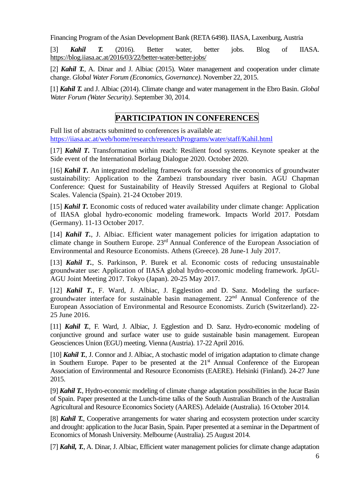Financing Program of the Asian Development Bank (RETA 6498). IIASA, Laxenburg, Austria

[3] *Kahil T.* (2016). Better water, better jobs. Blog of IIASA. <https://blog.iiasa.ac.at/2016/03/22/better-water-better-jobs/>

[2] *Kahil T.*, A. Dinar and J. Albiac (2015). Water management and cooperation under climate change. *Global Water Forum (Economics, Governance)*. November 22, 2015.

[1] *Kahil T.* and J. Albiac (2014). Climate change and water management in the Ebro Basin. *Global Water Forum (Water Security)*. September 30, 2014.

## **PARTICIPATION IN CONFERENCES**

Full list of abstracts submitted to conferences is available at: <https://iiasa.ac.at/web/home/research/researchPrograms/water/staff/Kahil.html>

[17] *Kahil T.* Transformation within reach: Resilient food systems. Keynote speaker at the Side event of the International Borlaug Dialogue 2020. October 2020.

[16] *Kahil T.* An integrated modeling framework for assessing the economics of groundwater sustainability: Application to the Zambezi transboundary river basin. AGU Chapman Conference: Quest for Sustainability of Heavily Stressed Aquifers at Regional to Global Scales. Valencia (Spain). 21-24 October 2019.

[15] *Kahil T.* Economic costs of reduced water availability under climate change: Application of IIASA global hydro-economic modeling framework. Impacts World 2017. Potsdam (Germany). 11-13 October 2017.

[14] *Kahil T.*, J. Albiac. Efficient water management policies for irrigation adaptation to climate change in Southern Europe. 23rd Annual Conference of the European Association of Environmental and Resource Economists. Athens (Greece). 28 June-1 July 2017.

[13] *Kahil T.*, S. Parkinson, P. Burek et al. Economic costs of reducing unsustainable groundwater use: Application of IIASA global hydro-economic modeling framework. JpGU-AGU Joint Meeting 2017. Tokyo (Japan). 20-25 May 2017.

[12] *Kahil T.*, F. Ward, J. Albiac, J. Egglestion and D. Sanz. Modeling the surfacegroundwater interface for sustainable basin management. 22nd Annual Conference of the European Association of Environmental and Resource Economists. Zurich (Switzerland). 22- 25 June 2016.

[11] *Kahil T.*, F. Ward, J. Albiac, J. Egglestion and D. Sanz. Hydro-economic modeling of conjunctive ground and surface water use to guide sustainable basin management. European Geosciences Union (EGU) meeting. Vienna (Austria). 17-22 April 2016.

[10] *Kahil T.*, J. Connor and J. Albiac, A stochastic model of irrigation adaptation to climate change in Southern Europe. Paper to be presented at the  $21<sup>st</sup>$  Annual Conference of the European Association of Environmental and Resource Economists (EAERE). Helsinki (Finland). 24-27 June 2015.

[9] *Kahil T.*, Hydro-economic modeling of climate change adaptation possibilities in the Jucar Basin of Spain. Paper presented at the Lunch-time talks of the South Australian Branch of the Australian Agricultural and Resource Economics Society (AARES). Adelaide (Australia). 16 October 2014.

[8] *Kahil T.*, Cooperative arrangements for water sharing and ecosystem protection under scarcity and drought: application to the Jucar Basin, Spain. Paper presented at a seminar in the Department of Economics of Monash University. Melbourne (Australia). 25 August 2014.

[7] *Kahil, T., A. Dinar, J. Albiac, Efficient water management policies for climate change adaptation*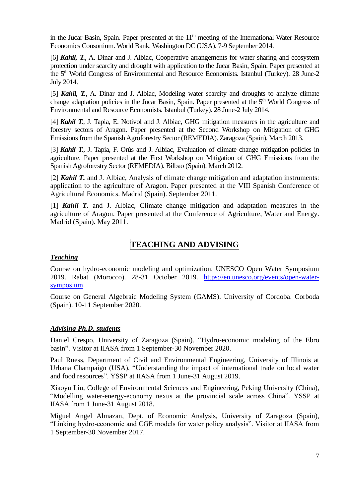in the Jucar Basin, Spain. Paper presented at the  $11<sup>th</sup>$  meeting of the International Water Resource Economics Consortium. World Bank. Washington DC (USA). 7-9 September 2014.

[6] *Kahil, T.*, A. Dinar and J. Albiac, Cooperative arrangements for water sharing and ecosystem protection under scarcity and drought with application to the Jucar Basin, Spain. Paper presented at the 5<sup>th</sup> World Congress of Environmental and Resource Economists. Istanbul (Turkey). 28 June-2 July 2014.

[5] *Kahil, T.*, A. Dinar and J. Albiac, Modeling water scarcity and droughts to analyze climate change adaptation policies in the Jucar Basin, Spain. Paper presented at the 5<sup>th</sup> World Congress of Environmental and Resource Economists. Istanbul (Turkey). 28 June-2 July 2014.

[4] *Kahil T.*, J. Tapia, E. Notivol and J. Albiac, GHG mitigation measures in the agriculture and forestry sectors of Aragon. Paper presented at the Second Workshop on Mitigation of GHG Emissions from the Spanish Agroforestry Sector (REMEDIA). Zaragoza (Spain). March 2013.

[3] *Kahil T.*, J. Tapia, F. Orús and J. Albiac, Evaluation of climate change mitigation policies in agriculture. Paper presented at the First Workshop on Mitigation of GHG Emissions from the Spanish Agroforestry Sector (REMEDIA). Bilbao (Spain). March 2012.

[2] *Kahil T.* and J. Albiac, Analysis of climate change mitigation and adaptation instruments: application to the agriculture of Aragon. Paper presented at the VIII Spanish Conference of Agricultural Economics. Madrid (Spain). September 2011.

[1] *Kahil T.* and J. Albiac, Climate change mitigation and adaptation measures in the agriculture of Aragon. Paper presented at the Conference of Agriculture, Water and Energy. Madrid (Spain). May 2011.

# **TEACHING AND ADVISING**

#### *Teaching*

Course on hydro-economic modeling and optimization. UNESCO Open Water Symposium 2019. Rabat (Morocco). 28-31 October 2019. [https://en.unesco.org/events/open-water](https://en.unesco.org/events/open-water-symposium)[symposium](https://en.unesco.org/events/open-water-symposium)

Course on General Algebraic Modeling System (GAMS). University of Cordoba. Corboda (Spain). 10-11 September 2020.

#### *Advising Ph.D. students*

Daniel Crespo, University of Zaragoza (Spain), "Hydro-economic modeling of the Ebro basin". Visitor at IIASA from 1 September-30 November 2020.

Paul Ruess, Department of Civil and Environmental Engineering, University of Illinois at Urbana Champaign (USA), "Understanding the impact of international trade on local water and food resources". YSSP at IIASA from 1 June-31 August 2019.

Xiaoyu Liu, College of Environmental Sciences and Engineering, Peking University (China), "Modelling water-energy-economy nexus at the provincial scale across China". YSSP at IIASA from 1 June-31 August 2018.

Miguel Angel Almazan, Dept. of Economic Analysis, University of Zaragoza (Spain), "Linking hydro-economic and CGE models for water policy analysis". Visitor at IIASA from 1 September-30 November 2017.